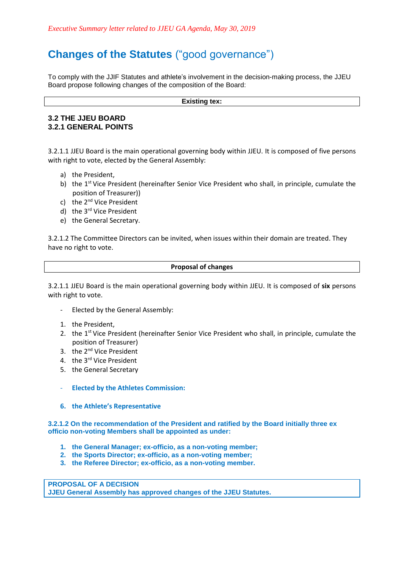## **Changes of the Statutes** ("good governance")

To comply with the JJIF Statutes and athlete's involvement in the decision-making process, the JJEU Board propose following changes of the composition of the Board:

#### **Existing tex:**

### **3.2 THE JJEU BOARD 3.2.1 GENERAL POINTS**

3.2.1.1 JJEU Board is the main operational governing body within JJEU. It is composed of five persons with right to vote, elected by the General Assembly:

- a) the President,
- b) the 1<sup>st</sup> Vice President (hereinafter Senior Vice President who shall, in principle, cumulate the position of Treasurer))
- c) the 2<sup>nd</sup> Vice President
- d) the 3<sup>rd</sup> Vice President
- e) the General Secretary.

3.2.1.2 The Committee Directors can be invited, when issues within their domain are treated. They have no right to vote.

#### **Proposal of changes**

3.2.1.1 JJEU Board is the main operational governing body within JJEU. It is composed of **six** persons with right to vote.

- Elected by the General Assembly:
- 1. the President,
- 2. the  $1<sup>st</sup>$  Vice President (hereinafter Senior Vice President who shall, in principle, cumulate the position of Treasurer)
- 3. the 2<sup>nd</sup> Vice President
- 4. the 3<sup>rd</sup> Vice President
- 5. the General Secretary
- **Elected by the Athletes Commission:**
- **6. the Athlete's Representative**

**3.2.1.2 On the recommendation of the President and ratified by the Board initially three ex officio non-voting Members shall be appointed as under:**

- **1. the General Manager; ex-officio, as a non-voting member;**
- **2. the Sports Director; ex-officio, as a non-voting member;**
- **3. the Referee Director; ex-officio, as a non-voting member.**

**PROPOSAL OF A DECISION JJEU General Assembly has approved changes of the JJEU Statutes.**